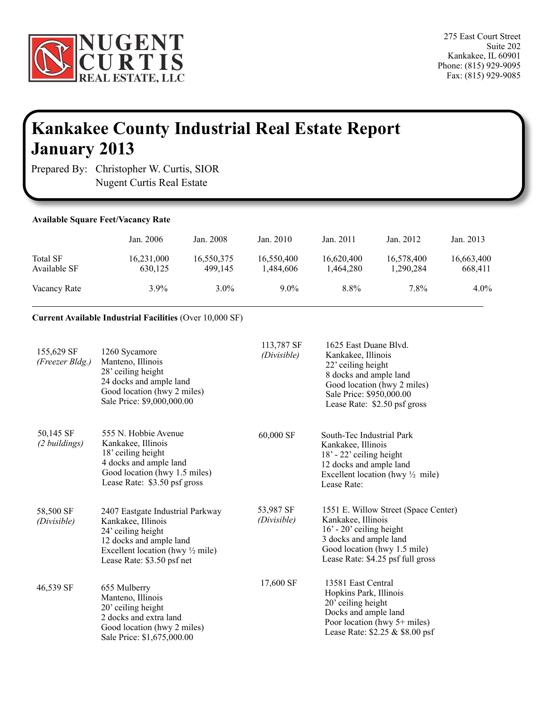

## **Kankakee County Industrial Real Estate Report January 2013**

Prepared By: Christopher W. Curtis, SIOR Nugent Curtis Real Estate

ï

| <b>Available Square Feet/Vacancy Rate</b> |                       |                       |                         |                         |                         |                       |
|-------------------------------------------|-----------------------|-----------------------|-------------------------|-------------------------|-------------------------|-----------------------|
|                                           | Jan. 2006             | Jan. 2008             | Jan. $2010$             | Jan. 2011               | Jan. 2012               | Jan. 2013             |
| <b>Total SF</b><br>Available SF           | 16,231,000<br>630,125 | 16,550,375<br>499.145 | 16,550,400<br>1,484,606 | 16,620,400<br>1,464,280 | 16,578,400<br>1,290,284 | 16,663,400<br>668,411 |
| Vacancy Rate                              | $3.9\%$               | $3.0\%$               | $9.0\%$                 | $8.8\%$                 | 7.8%                    | $4.0\%$               |

## **Current Available Industrial Facilities** (Over 10,000 SF)

| 155,629 SF<br>(Freezer Bldg.) | 1260 Sycamore<br>Manteno, Illinois<br>28' ceiling height<br>24 docks and ample land<br>Good location (hwy 2 miles)<br>Sale Price: \$9,000,000.00                                     | 113,787 SF<br>(Divisible) | 1625 East Duane Blvd.<br>Kankakee, Illinois<br>22' ceiling height<br>8 docks and ample land<br>Good location (hwy 2 miles)<br>Sale Price: \$950,000.00<br>Lease Rate: \$2.50 psf gross  |
|-------------------------------|--------------------------------------------------------------------------------------------------------------------------------------------------------------------------------------|---------------------------|-----------------------------------------------------------------------------------------------------------------------------------------------------------------------------------------|
| 50,145 SF<br>(2 buildings)    | 555 N. Hobbie Avenue<br>Kankakee, Illinois<br>18' ceiling height<br>4 docks and ample land<br>Good location (hwy 1.5 miles)<br>Lease Rate: \$3.50 psf gross                          | 60,000 SF                 | South-Tec Industrial Park<br>Kankakee, Illinois<br>$18' - 22'$ ceiling height<br>12 docks and ample land<br>Excellent location (hwy $\frac{1}{2}$ mile)<br>Lease Rate:                  |
| 58,500 SF<br>(Divisible)      | 2407 Eastgate Industrial Parkway<br>Kankakee, Illinois<br>24' ceiling height<br>12 docks and ample land<br>Excellent location (hwy $\frac{1}{2}$ mile)<br>Lease Rate: \$3.50 psf net | 53,987 SF<br>(Divisible)  | 1551 E. Willow Street (Space Center)<br>Kankakee, Illinois<br>$16'$ - 20' ceiling height<br>3 docks and ample land<br>Good location (hwy 1.5 mile)<br>Lease Rate: \$4.25 psf full gross |
| 46,539 SF                     | 655 Mulberry<br>Manteno, Illinois<br>20' ceiling height<br>2 docks and extra land<br>Good location (hwy 2 miles)<br>Sale Price: \$1,675,000.00                                       | 17,600 SF                 | 13581 East Central<br>Hopkins Park, Illinois<br>20' ceiling height<br>Docks and ample land<br>Poor location (hwy 5+ miles)<br>Lease Rate: \$2.25 & \$8.00 psf                           |